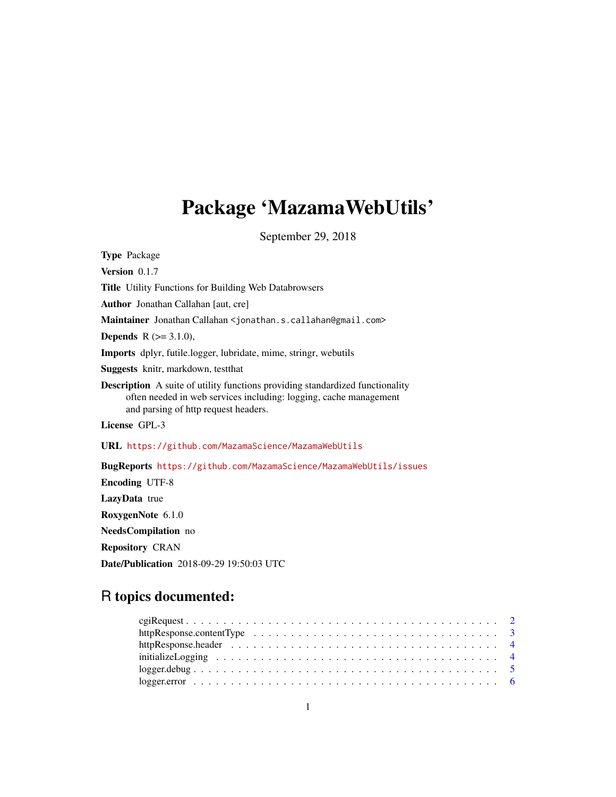# Package 'MazamaWebUtils'

September 29, 2018

Type Package Version 0.1.7 Title Utility Functions for Building Web Databrowsers Author Jonathan Callahan [aut, cre] Maintainer Jonathan Callahan <jonathan.s.callahan@gmail.com> **Depends** R  $(>= 3.1.0)$ , Imports dplyr, futile.logger, lubridate, mime, stringr, webutils Suggests knitr, markdown, testthat Description A suite of utility functions providing standardized functionality often needed in web services including: logging, cache management and parsing of http request headers. License GPL-3 URL <https://github.com/MazamaScience/MazamaWebUtils> BugReports <https://github.com/MazamaScience/MazamaWebUtils/issues> Encoding UTF-8 LazyData true RoxygenNote 6.1.0 NeedsCompilation no Repository CRAN

Date/Publication 2018-09-29 19:50:03 UTC

## R topics documented:

| httpResponse.contentType $\ldots \ldots \ldots \ldots \ldots \ldots \ldots \ldots \ldots \ldots \ldots \ldots$ |  |
|----------------------------------------------------------------------------------------------------------------|--|
|                                                                                                                |  |
|                                                                                                                |  |
|                                                                                                                |  |
|                                                                                                                |  |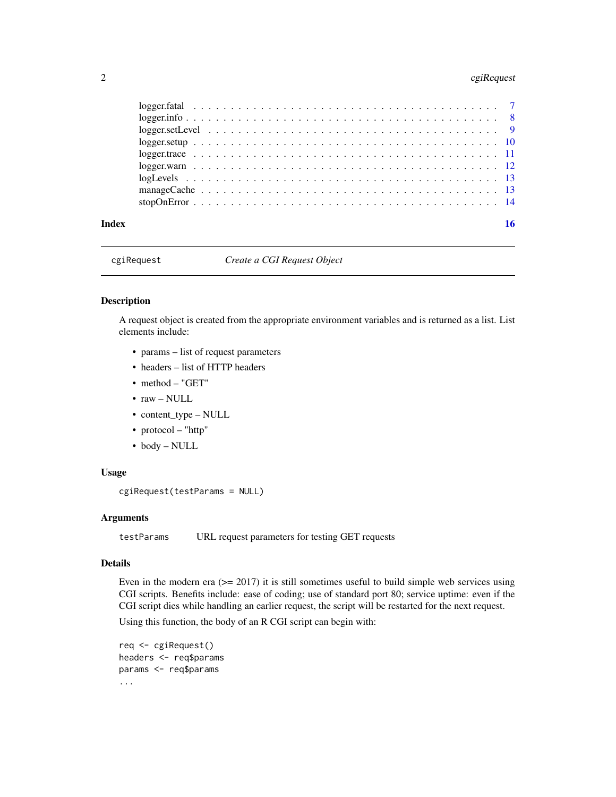#### <span id="page-1-0"></span>2 cgiRequest

| Index | 16 |
|-------|----|

#### cgiRequest *Create a CGI Request Object*

#### Description

A request object is created from the appropriate environment variables and is returned as a list. List elements include:

- params list of request parameters
- headers list of HTTP headers
- method "GET"
- raw NULL
- content\_type NULL
- protocol "http"
- body NULL

#### Usage

```
cgiRequest(testParams = NULL)
```
#### Arguments

testParams URL request parameters for testing GET requests

#### Details

Even in the modern era  $(>= 2017)$  it is still sometimes useful to build simple web services using CGI scripts. Benefits include: ease of coding; use of standard port 80; service uptime: even if the CGI script dies while handling an earlier request, the script will be restarted for the next request.

Using this function, the body of an R CGI script can begin with:

```
req <- cgiRequest()
headers <- req$params
params <- req$params
...
```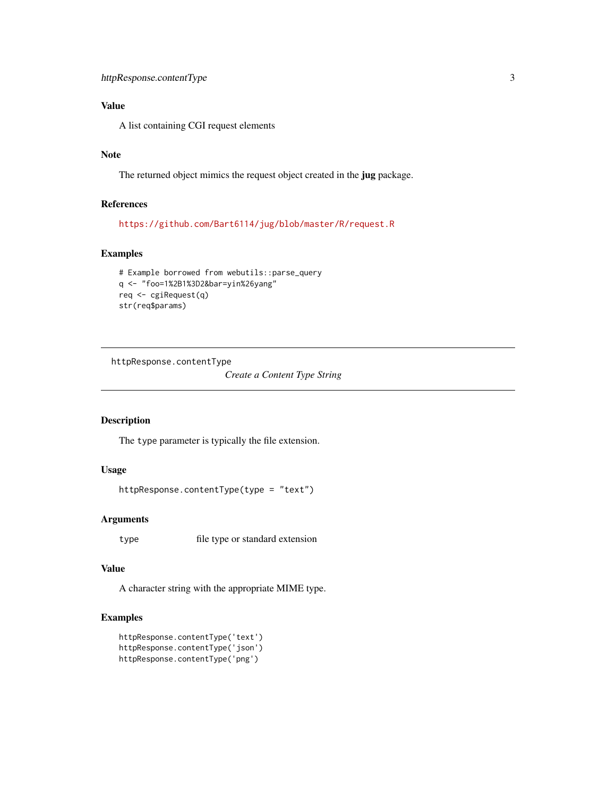### <span id="page-2-0"></span>Value

A list containing CGI request elements

### Note

The returned object mimics the request object created in the jug package.

#### References

<https://github.com/Bart6114/jug/blob/master/R/request.R>

#### Examples

```
# Example borrowed from webutils::parse_query
q <- "foo=1%2B1%3D2&bar=yin%26yang"
req <- cgiRequest(q)
str(req$params)
```
httpResponse.contentType

*Create a Content Type String*

#### Description

The type parameter is typically the file extension.

#### Usage

```
httpResponse.contentType(type = "text")
```
#### Arguments

type file type or standard extension

#### Value

A character string with the appropriate MIME type.

#### Examples

httpResponse.contentType('text') httpResponse.contentType('json') httpResponse.contentType('png')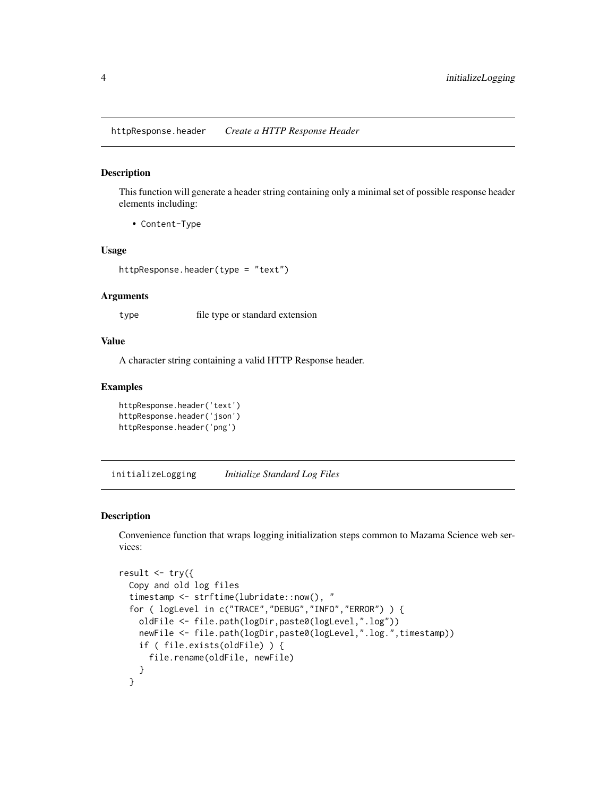<span id="page-3-0"></span>httpResponse.header *Create a HTTP Response Header*

#### Description

This function will generate a header string containing only a minimal set of possible response header elements including:

• Content-Type

#### Usage

httpResponse.header(type = "text")

#### Arguments

type file type or standard extension

#### Value

A character string containing a valid HTTP Response header.

#### Examples

```
httpResponse.header('text')
httpResponse.header('json')
httpResponse.header('png')
```
initializeLogging *Initialize Standard Log Files*

#### Description

Convenience function that wraps logging initialization steps common to Mazama Science web services:

```
result \leq try({
  Copy and old log files
  timestamp <- strftime(lubridate::now(), "
  for ( logLevel in c("TRACE","DEBUG","INFO","ERROR") ) {
    oldFile <- file.path(logDir,paste0(logLevel,".log"))
    newFile <- file.path(logDir,paste0(logLevel,".log.",timestamp))
    if ( file.exists(oldFile) ) {
      file.rename(oldFile, newFile)
    }
  }
```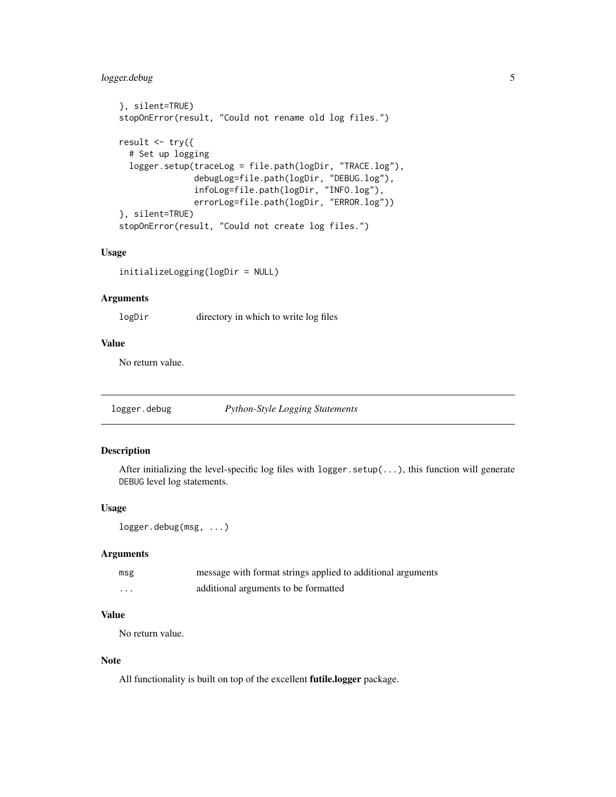#### <span id="page-4-0"></span>logger.debug 5

```
}, silent=TRUE)
stopOnError(result, "Could not rename old log files.")
result \leq -\text{try}(# Set up logging
  logger.setup(traceLog = file.path(logDir, "TRACE.log"),
               debugLog=file.path(logDir, "DEBUG.log"),
               infoLog=file.path(logDir, "INFO.log"),
               errorLog=file.path(logDir, "ERROR.log"))
}, silent=TRUE)
stopOnError(result, "Could not create log files.")
```
#### Usage

initializeLogging(logDir = NULL)

#### Arguments

logDir directory in which to write log files

#### Value

No return value.

<span id="page-4-1"></span>logger.debug *Python-Style Logging Statements*

#### Description

After initializing the level-specific log files with  $\log \pi$ . setup $(\ldots)$ , this function will generate DEBUG level log statements.

#### Usage

```
logger.debug(msg, ...)
```
#### Arguments

| msg | message with format strings applied to additional arguments |
|-----|-------------------------------------------------------------|
| .   | additional arguments to be formatted                        |

#### Value

No return value.

#### Note

All functionality is built on top of the excellent **futile.logger** package.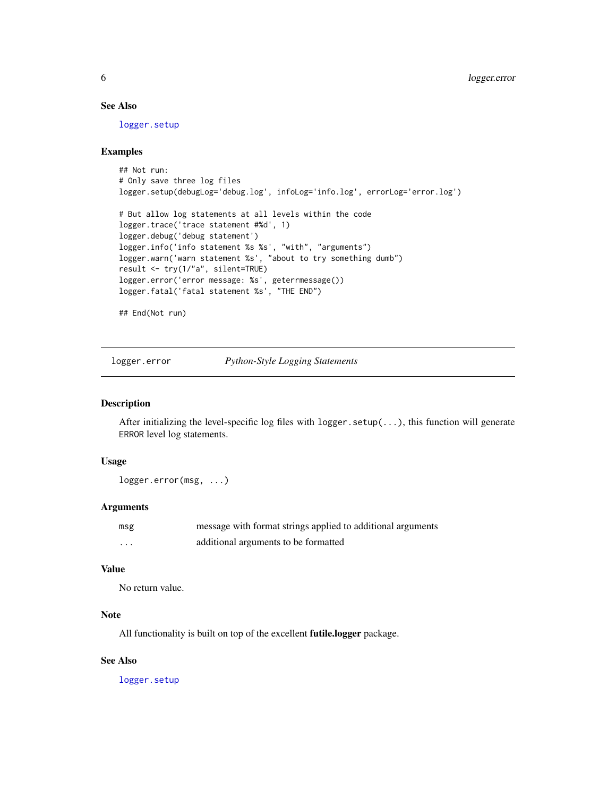#### See Also

[logger.setup](#page-9-1)

#### Examples

```
## Not run:
# Only save three log files
logger.setup(debugLog='debug.log', infoLog='info.log', errorLog='error.log')
# But allow log statements at all levels within the code
logger.trace('trace statement #%d', 1)
logger.debug('debug statement')
logger.info('info statement %s %s', "with", "arguments")
logger.warn('warn statement %s', "about to try something dumb")
result <- try(1/"a", silent=TRUE)
logger.error('error message: %s', geterrmessage())
logger.fatal('fatal statement %s', "THE END")
## End(Not run)
```
<span id="page-5-1"></span>logger.error *Python-Style Logging Statements*

#### Description

After initializing the level-specific log files with logger.setup(...), this function will generate ERROR level log statements.

#### Usage

logger.error(msg, ...)

#### Arguments

| msg                     | message with format strings applied to additional arguments |
|-------------------------|-------------------------------------------------------------|
| $\cdot$ $\cdot$ $\cdot$ | additional arguments to be formatted                        |

#### Value

No return value.

### Note

All functionality is built on top of the excellent futile.logger package.

#### See Also

<span id="page-5-0"></span>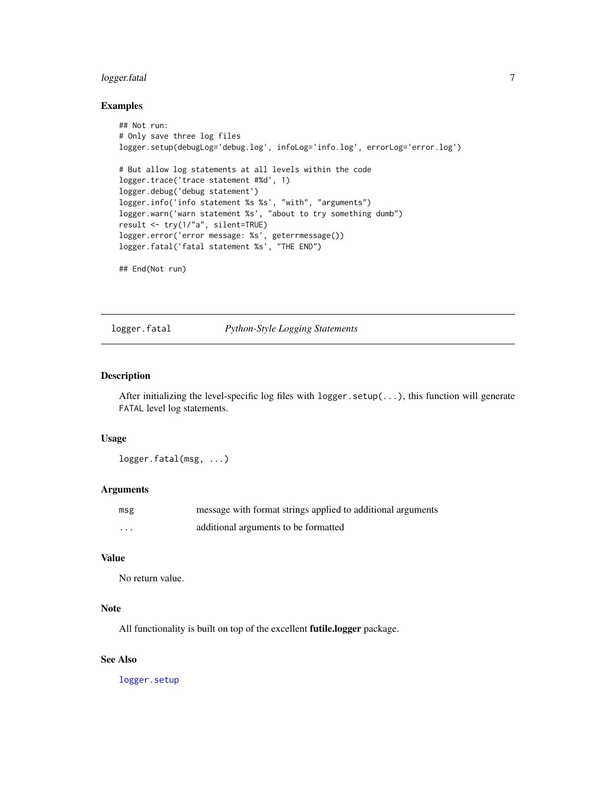#### <span id="page-6-0"></span>logger.fatal 7

#### Examples

```
## Not run:
# Only save three log files
logger.setup(debugLog='debug.log', infoLog='info.log', errorLog='error.log')
# But allow log statements at all levels within the code
logger.trace('trace statement #%d', 1)
logger.debug('debug statement')
logger.info('info statement %s %s', "with", "arguments")
logger.warn('warn statement %s', "about to try something dumb")
result <- try(1/"a", silent=TRUE)
logger.error('error message: %s', geterrmessage())
logger.fatal('fatal statement %s', "THE END")
## End(Not run)
```
#### <span id="page-6-1"></span>logger.fatal *Python-Style Logging Statements*

#### Description

After initializing the level-specific log files with logger.setup(...), this function will generate FATAL level log statements.

#### Usage

logger.fatal(msg, ...)

#### Arguments

| msg | message with format strings applied to additional arguments |
|-----|-------------------------------------------------------------|
| .   | additional arguments to be formatted                        |

#### Value

No return value.

#### Note

All functionality is built on top of the excellent **futile.logger** package.

#### See Also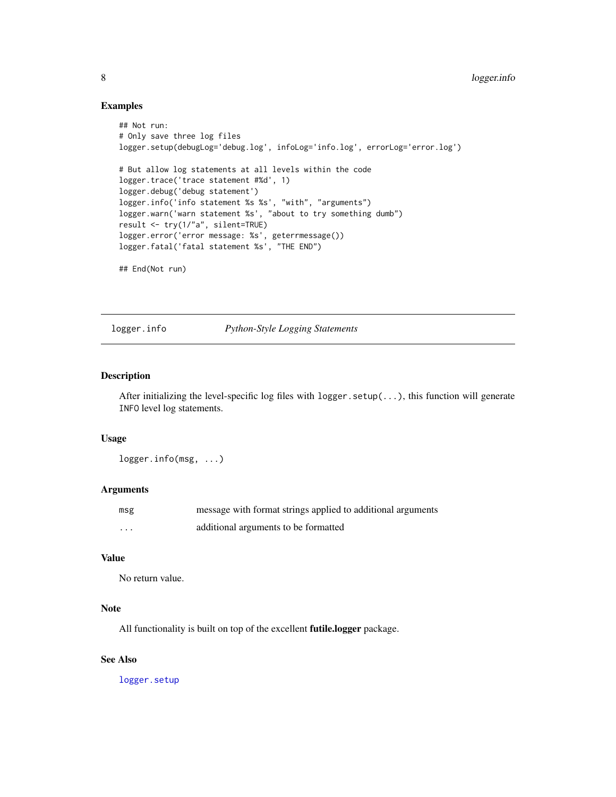#### Examples

```
## Not run:
# Only save three log files
logger.setup(debugLog='debug.log', infoLog='info.log', errorLog='error.log')
# But allow log statements at all levels within the code
logger.trace('trace statement #%d', 1)
logger.debug('debug statement')
logger.info('info statement %s %s', "with", "arguments")
logger.warn('warn statement %s', "about to try something dumb")
result <- try(1/"a", silent=TRUE)
logger.error('error message: %s', geterrmessage())
logger.fatal('fatal statement %s', "THE END")
## End(Not run)
```
<span id="page-7-1"></span>logger.info *Python-Style Logging Statements*

#### Description

After initializing the level-specific log files with logger.setup(...), this function will generate INFO level log statements.

#### Usage

logger.info(msg, ...)

#### Arguments

| msg | message with format strings applied to additional arguments |
|-----|-------------------------------------------------------------|
| .   | additional arguments to be formatted                        |

#### Value

No return value.

#### Note

All functionality is built on top of the excellent **futile.logger** package.

#### See Also

<span id="page-7-0"></span>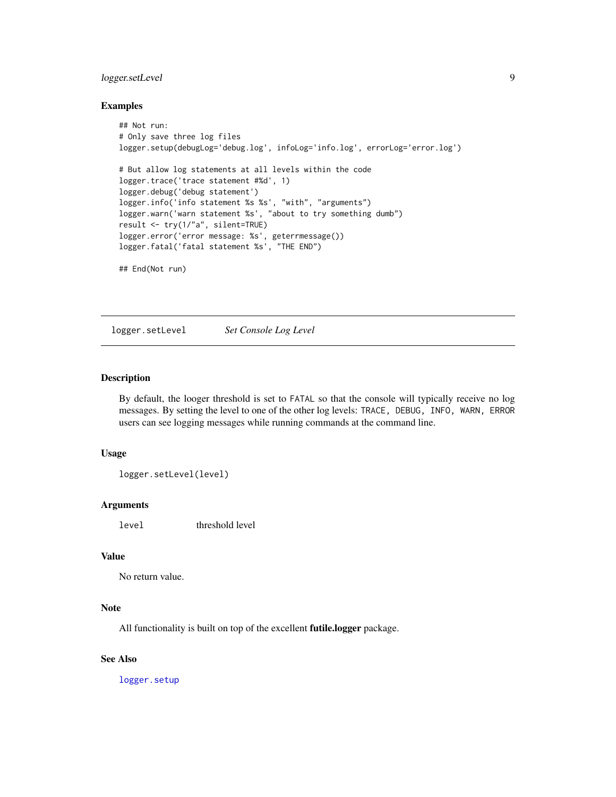#### <span id="page-8-0"></span>logger.setLevel 9

#### Examples

```
## Not run:
# Only save three log files
logger.setup(debugLog='debug.log', infoLog='info.log', errorLog='error.log')
# But allow log statements at all levels within the code
logger.trace('trace statement #%d', 1)
logger.debug('debug statement')
logger.info('info statement %s %s', "with", "arguments")
logger.warn('warn statement %s', "about to try something dumb")
result <- try(1/"a", silent=TRUE)
logger.error('error message: %s', geterrmessage())
logger.fatal('fatal statement %s', "THE END")
## End(Not run)
```
logger.setLevel *Set Console Log Level*

#### Description

By default, the looger threshold is set to FATAL so that the console will typically receive no log messages. By setting the level to one of the other log levels: TRACE, DEBUG, INFO, WARN, ERROR users can see logging messages while running commands at the command line.

#### Usage

```
logger.setLevel(level)
```
#### Arguments

level threshold level

#### Value

No return value.

#### Note

All functionality is built on top of the excellent **futile.logger** package.

#### See Also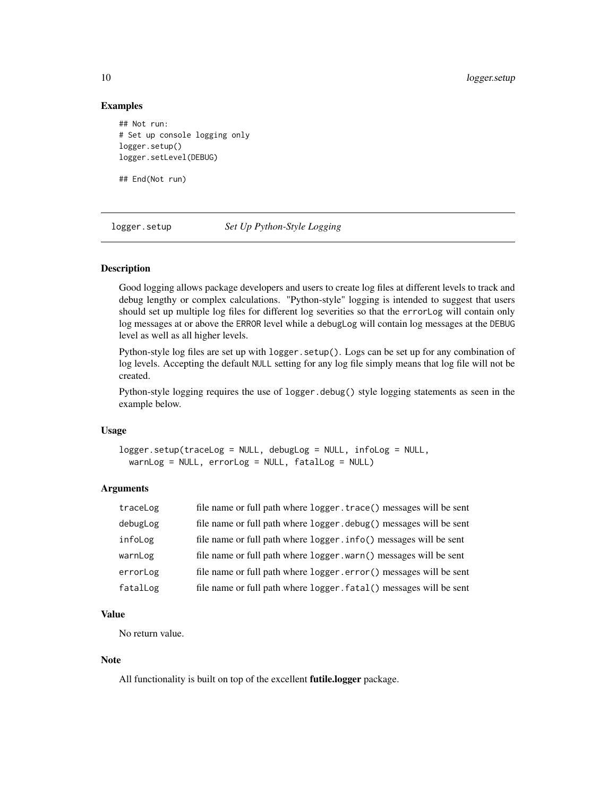#### Examples

```
## Not run:
# Set up console logging only
logger.setup()
logger.setLevel(DEBUG)
```
## End(Not run)

<span id="page-9-1"></span>logger.setup *Set Up Python-Style Logging*

#### Description

Good logging allows package developers and users to create log files at different levels to track and debug lengthy or complex calculations. "Python-style" logging is intended to suggest that users should set up multiple log files for different log severities so that the errorLog will contain only log messages at or above the ERROR level while a debugLog will contain log messages at the DEBUG level as well as all higher levels.

Python-style log files are set up with logger.setup(). Logs can be set up for any combination of log levels. Accepting the default NULL setting for any log file simply means that log file will not be created.

Python-style logging requires the use of logger.debug() style logging statements as seen in the example below.

#### Usage

logger.setup(traceLog = NULL, debugLog = NULL, infoLog = NULL, warnLog = NULL, errorLog = NULL, fatalLog = NULL)

#### Arguments

| traceLog | file name or full path where logger. trace() messages will be sent |
|----------|--------------------------------------------------------------------|
| debugLog | file name or full path where logger.debug() messages will be sent  |
| infoLog  | file name or full path where logger.info() messages will be sent   |
| warnLog  | file name or full path where logger.warn() messages will be sent   |
| errorLog | file name or full path where logger.error() messages will be sent  |
| fatalLog | file name or full path where logger.fatal() messages will be sent  |

#### Value

No return value.

#### Note

All functionality is built on top of the excellent **futile.logger** package.

<span id="page-9-0"></span>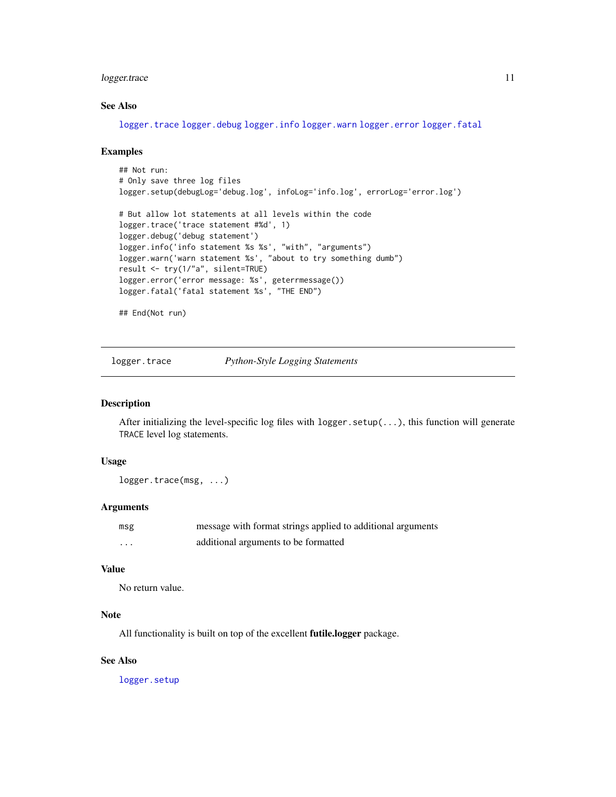#### <span id="page-10-0"></span>logger.trace 11

#### See Also

[logger.trace](#page-10-1) [logger.debug](#page-4-1) [logger.info](#page-7-1) [logger.warn](#page-11-1) [logger.error](#page-5-1) [logger.fatal](#page-6-1)

#### Examples

```
## Not run:
# Only save three log files
logger.setup(debugLog='debug.log', infoLog='info.log', errorLog='error.log')
# But allow lot statements at all levels within the code
logger.trace('trace statement #%d', 1)
logger.debug('debug statement')
logger.info('info statement %s %s', "with", "arguments")
logger.warn('warn statement %s', "about to try something dumb")
result <- try(1/"a", silent=TRUE)
logger.error('error message: %s', geterrmessage())
logger.fatal('fatal statement %s', "THE END")
## End(Not run)
```
<span id="page-10-1"></span>logger.trace *Python-Style Logging Statements*

#### Description

After initializing the level-specific log files with  $\log(\ldots)$ , this function will generate TRACE level log statements.

#### Usage

logger.trace(msg, ...)

#### Arguments

| msg      | message with format strings applied to additional arguments |
|----------|-------------------------------------------------------------|
| $\cdots$ | additional arguments to be formatted                        |

#### Value

No return value.

#### Note

All functionality is built on top of the excellent **futile.logger** package.

#### See Also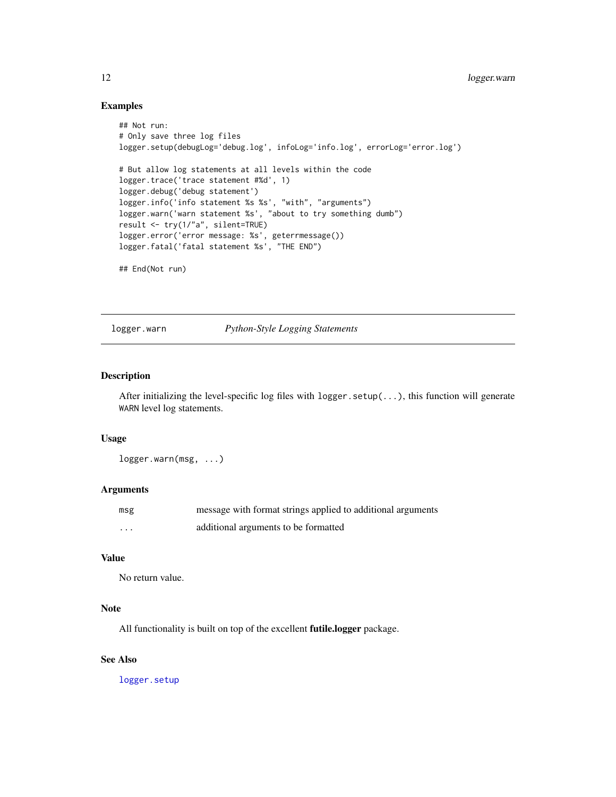#### Examples

```
## Not run:
# Only save three log files
logger.setup(debugLog='debug.log', infoLog='info.log', errorLog='error.log')
# But allow log statements at all levels within the code
logger.trace('trace statement #%d', 1)
logger.debug('debug statement')
logger.info('info statement %s %s', "with", "arguments")
logger.warn('warn statement %s', "about to try something dumb")
result <- try(1/"a", silent=TRUE)
logger.error('error message: %s', geterrmessage())
logger.fatal('fatal statement %s', "THE END")
## End(Not run)
```
<span id="page-11-1"></span>logger.warn *Python-Style Logging Statements*

#### Description

After initializing the level-specific log files with logger.setup(...), this function will generate WARN level log statements.

#### Usage

logger.warn(msg, ...)

#### Arguments

| msg      | message with format strings applied to additional arguments |
|----------|-------------------------------------------------------------|
| $\cdots$ | additional arguments to be formatted                        |

#### Value

No return value.

#### Note

All functionality is built on top of the excellent **futile.logger** package.

#### See Also

<span id="page-11-0"></span>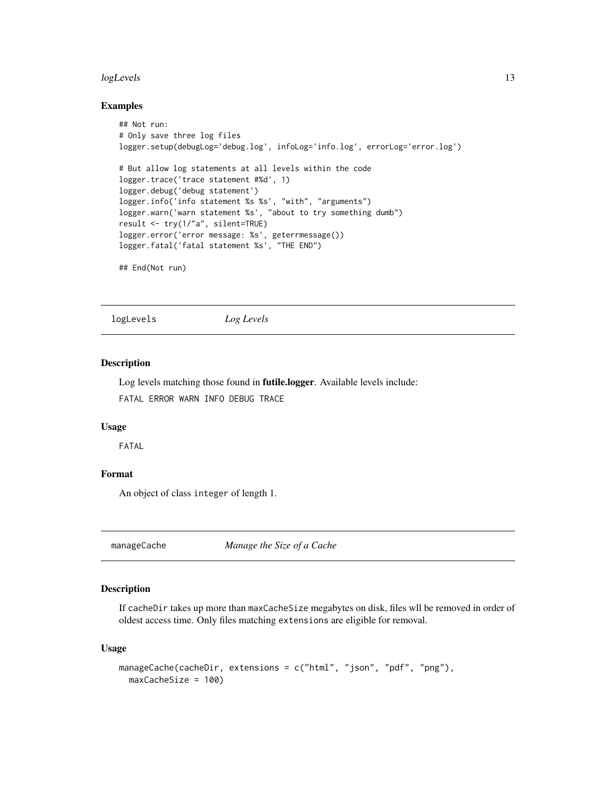#### <span id="page-12-0"></span>logLevels and the set of the set of the set of the set of the set of the set of the set of the set of the set of the set of the set of the set of the set of the set of the set of the set of the set of the set of the set of

#### Examples

```
## Not run:
# Only save three log files
logger.setup(debugLog='debug.log', infoLog='info.log', errorLog='error.log')
# But allow log statements at all levels within the code
logger.trace('trace statement #%d', 1)
logger.debug('debug statement')
logger.info('info statement %s %s', "with", "arguments")
logger.warn('warn statement %s', "about to try something dumb")
result <- try(1/"a", silent=TRUE)
logger.error('error message: %s', geterrmessage())
logger.fatal('fatal statement %s', "THE END")
## End(Not run)
```
logLevels *Log Levels*

#### Description

Log levels matching those found in futile.logger. Available levels include: FATAL ERROR WARN INFO DEBUG TRACE

#### Usage

FATAL

#### Format

An object of class integer of length 1.

manageCache *Manage the Size of a Cache*

#### Description

If cacheDir takes up more than maxCacheSize megabytes on disk, files wll be removed in order of oldest access time. Only files matching extensions are eligible for removal.

#### Usage

```
manageCache(cacheDir, extensions = c("html", "json", "pdf", "png"),
 maxCacheSize = 100)
```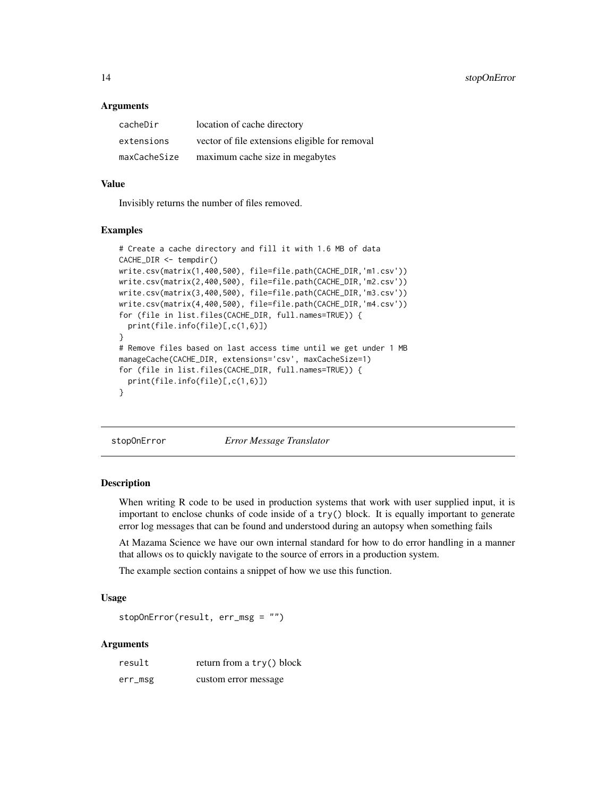<span id="page-13-0"></span>14 stopOnError

#### **Arguments**

| cacheDir     | location of cache directory                    |
|--------------|------------------------------------------------|
| extensions   | vector of file extensions eligible for removal |
| maxCacheSize | maximum cache size in megabytes                |

#### Value

Invisibly returns the number of files removed.

#### Examples

```
# Create a cache directory and fill it with 1.6 MB of data
CACHE_DIR <- tempdir()
write.csv(matrix(1,400,500), file=file.path(CACHE_DIR,'m1.csv'))
write.csv(matrix(2,400,500), file=file.path(CACHE_DIR,'m2.csv'))
write.csv(matrix(3,400,500), file=file.path(CACHE_DIR,'m3.csv'))
write.csv(matrix(4,400,500), file=file.path(CACHE_DIR,'m4.csv'))
for (file in list.files(CACHE_DIR, full.names=TRUE)) {
 print(file.info(file)[,c(1,6)])
}
# Remove files based on last access time until we get under 1 MB
manageCache(CACHE_DIR, extensions='csv', maxCacheSize=1)
for (file in list.files(CACHE_DIR, full.names=TRUE)) {
 print(file.info(file)[,c(1,6)])
}
```
stopOnError *Error Message Translator*

#### Description

When writing R code to be used in production systems that work with user supplied input, it is important to enclose chunks of code inside of a try() block. It is equally important to generate error log messages that can be found and understood during an autopsy when something fails

At Mazama Science we have our own internal standard for how to do error handling in a manner that allows os to quickly navigate to the source of errors in a production system.

The example section contains a snippet of how we use this function.

#### Usage

```
stopOnError(result, err_msg = "")
```
#### Arguments

| result  | return from a try() block |
|---------|---------------------------|
| err_msg | custom error message      |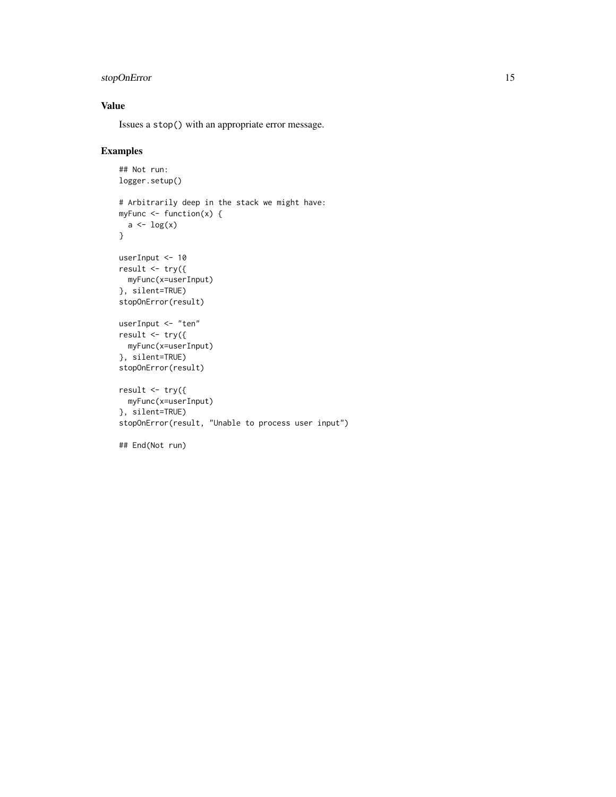#### stopOnError 15

#### Value

Issues a stop() with an appropriate error message.

#### Examples

```
## Not run:
logger.setup()
# Arbitrarily deep in the stack we might have:
myFunc <- function(x) {
  a \leftarrow \log(x)}
userInput <- 10
result <- try({
 myFunc(x=userInput)
}, silent=TRUE)
stopOnError(result)
userInput <- "ten"
result \leq -\text{try}(\{myFunc(x=userInput)
}, silent=TRUE)
stopOnError(result)
result <- try({
  myFunc(x=userInput)
}, silent=TRUE)
stopOnError(result, "Unable to process user input")
```

```
## End(Not run)
```